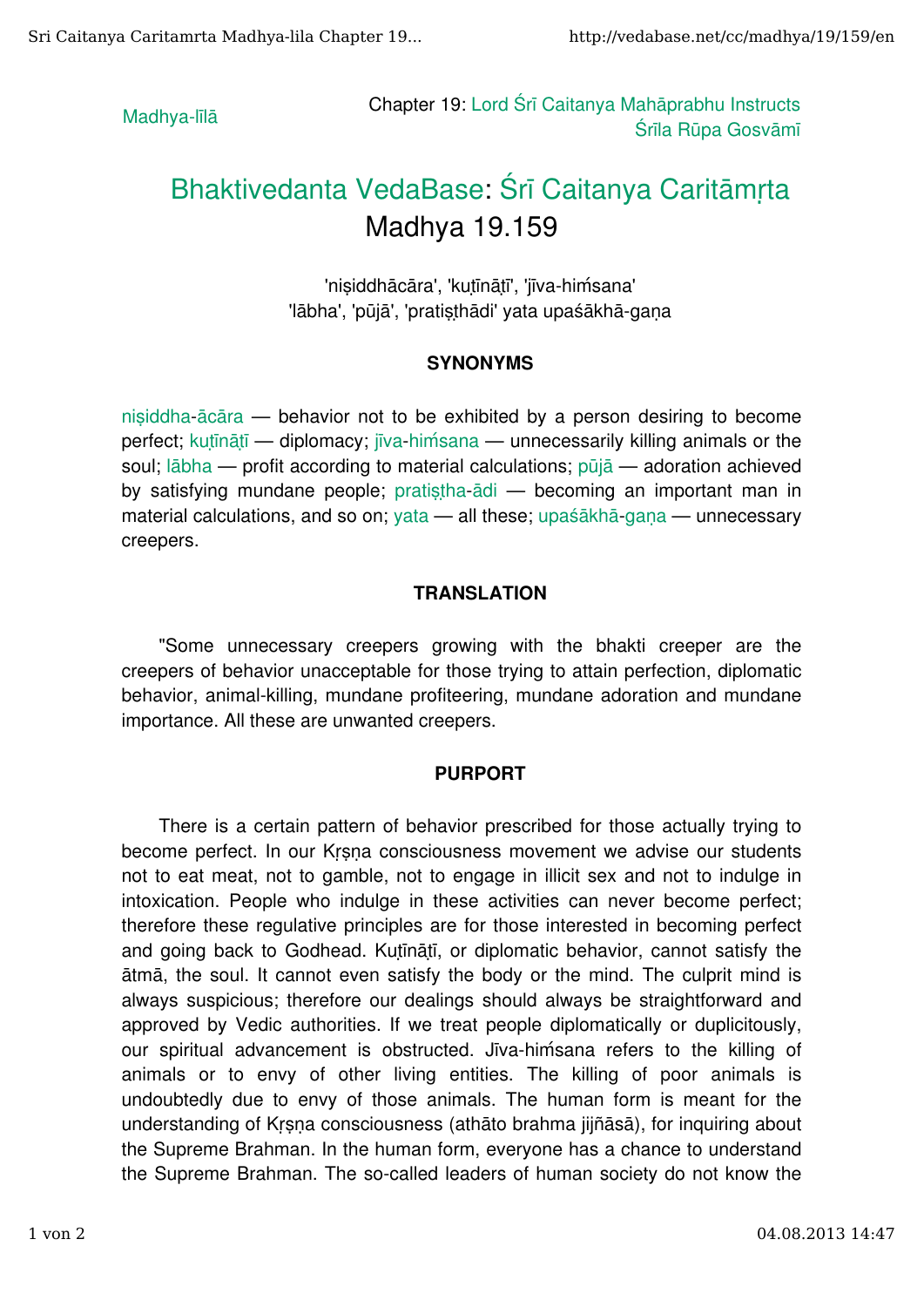Madhya-līlā **Chapter 19:** Lord Śrī Caitanya Mahāprabhu Instructs Śrīla Rūpa Gosvāmī

## Bhaktivedanta VedaBase: Śrī Caitanya Caritāmrta Madhya 19.159

'nisiddhācāra', 'kutīnātī', 'jīva-himsana' 'lābha', 'pūjā', 'pratisthādi' yata upaśākhā-gaṇa

## SYNONYMS

nisiddha-ācāra — behavior not to be exhibited by a person desiring to become perfect; kutīnātī — diplomacy; jīva-himsana — unnecessarily killing animals or the soul; lābha — profit according to material calculations; pūjā — adoration achieved by satisfying mundane people; pratistha-ādi — becoming an important man in material calculations, and so on; yata — all these; upaśākhā gana — unnecessary creepers.

## TRANSLATION

"Some unnecessary creepers growing with the bhakti creeper are the creepers of behavior unacceptable for those trying to attain perfection, diplomatic behavior, animal-killing, mundane profiteering, mundane adoration and mundane importance. All these are unwanted creepers.

## PURPORT

There is a certain pattern of behavior prescribed for those actually trying to become perfect. In our Krsna consciousness movement we advise our students not to eat meat, not to gamble, not to engage in illicit sex and not to indulge in intoxication. People who indulge in these activities can never become perfect; therefore these regulative principles are for those interested in becoming perfect and going back to Godhead. Kutināti, or diplomatic behavior, cannot satisfy the ātmā, the soul. It cannot even satisfy the body or the mind. The culprit mind is always suspicious; therefore our dealings should always be straightforward and approved by Vedic authorities. If we treat people diplomatically or duplicitously, our spiritual advancement is obstructed. Jīva-hiḿsana refers to the killing of animals or to envy of other living entities. The killing of poor animals is undoubtedly due to envy of those animals. The human form is meant for the understanding of Kṛṣṇa consciousness (athāto brahma jijñāsā), for inquiring about the Supreme Brahman. In the human form, everyone has a chance to understand the Supreme Brahman. The so-called leaders of human society do not know the